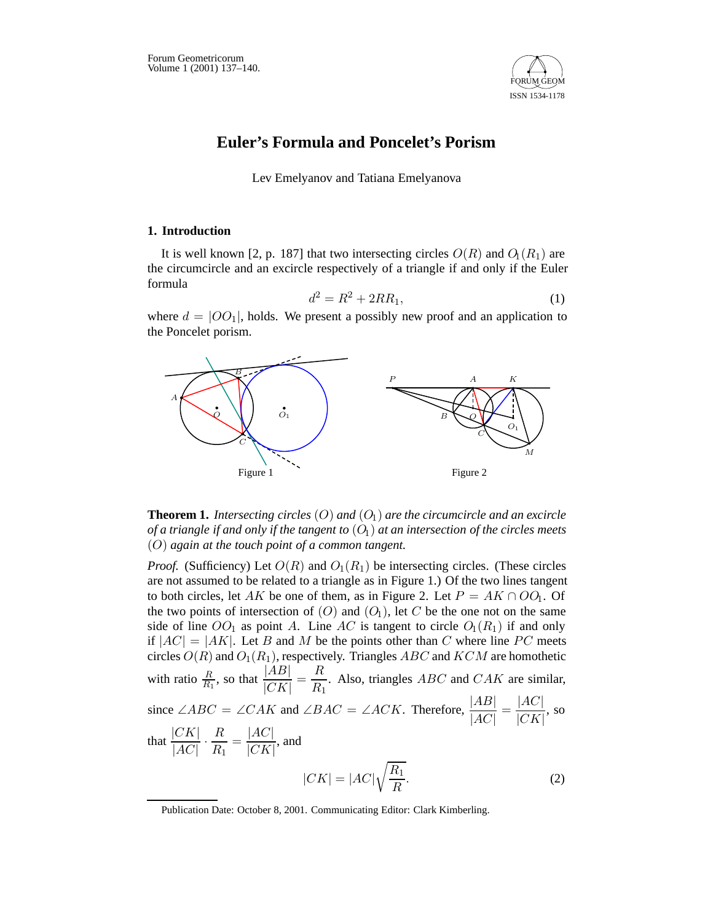

# **Euler's Formula and Poncelet's Porism**

Lev Emelyanov and Tatiana Emelyanova

### **1. Introduction**

It is well known [2, p. 187] that two intersecting circles  $O(R)$  and  $O_1(R_1)$  are the circumcircle and an excircle respectively of a triangle if and only if the Euler formula

$$
d^2 = R^2 + 2RR_1,\t\t(1)
$$

where  $d = |OO_1|$ , holds. We present a possibly new proof and an application to the Poncelet porism.



## **Theorem 1.** *Intersecting circles* (*O*) *and* (*O*1) *are the circumcircle and an excircle of a triangle if and only if the tangent to* (*O*1) *at an intersection of the circles meets* (*O*) *again at the touch point of a common tangent.*

*Proof.* (Sufficiency) Let  $O(R)$  and  $O_1(R_1)$  be intersecting circles. (These circles are not assumed to be related to a triangle as in Figure 1.) Of the two lines tangent to both circles, let *AK* be one of them, as in Figure 2. Let  $P = AK \cap OO_1$ . Of the two points of intersection of  $(O)$  and  $(O_1)$ , let  $C$  be the one not on the same side of line  $OO_1$  as point A. Line AC is tangent to circle  $O_1(R_1)$  if and only if  $|AC| = |AK|$ . Let *B* and *M* be the points other than *C* where line *PC* meets circles *O*(*R*) and *O*1(*R*1), respectively. Triangles *ABC* and *KCM* are homothetic with ratio  $\frac{R}{R_1}$ , so that  $\frac{|AB|}{|CK|}$  $=\frac{R}{R}$  $\frac{R}{R_1}$ . Also, triangles *ABC* and *CAK* are similar, since ∠*ABC* = ∠*CAK* and ∠*BAC* = ∠*ACK*. Therefore,  $\frac{|AB|}{|AC|}$ <sup>|</sup>*AC*<sup>|</sup>  $=\frac{|AC|}{|C|}$  $\frac{|CC|}{|CK|}$ , so that  $\frac{|CK|}{|AC|}$  $\frac{|CK|}{|AC|} \cdot \frac{R}{R_1}$  $=\frac{|AC|}{|C|}$  $\frac{|CC|}{|CK|}$ , and  $|CK| = |AC|\sqrt{\frac{R_1}{R}}$  $\frac{n_1}{R}$ . (2)

Publication Date: October 8, 2001. Communicating Editor: Clark Kimberling.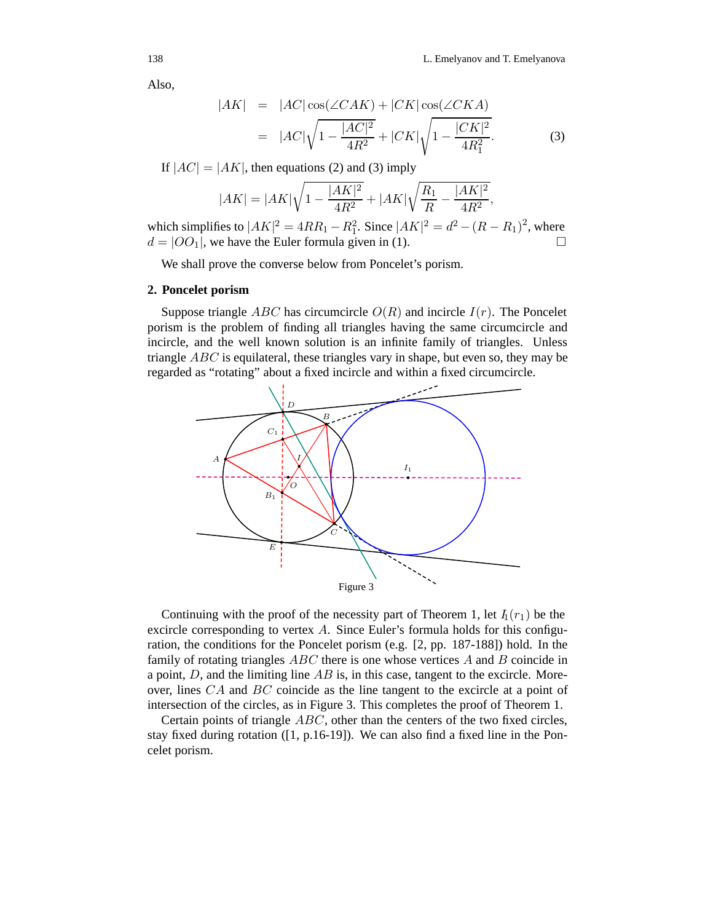Also,

$$
|AK| = |AC| \cos(\angle CAK) + |CK| \cos(\angle CKA)
$$
  
= 
$$
|AC|\sqrt{1 - \frac{|AC|^2}{4R^2}} + |CK|\sqrt{1 - \frac{|CK|^2}{4R_1^2}}.
$$
 (3)

If  $|AC| = |AK|$ , then equations (2) and (3) imply

$$
|AK| = |AK| \sqrt{1 - \frac{|AK|^2}{4R^2}} + |AK| \sqrt{\frac{R_1}{R} - \frac{|AK|^2}{4R^2}},
$$

which simplifies to  $|AK|^2 = 4RR_1 - R_1^2$ . Since  $|AK|^2 = d^2 - (R - R_1)^2$ , where  $d = |OO_1|$ , we have the Euler formula given in (1).  $\Box$ 

We shall prove the converse below from Poncelet's porism.

#### **2. Poncelet porism**

Suppose triangle *ABC* has circumcircle  $O(R)$  and incircle  $I(r)$ . The Poncelet porism is the problem of finding all triangles having the same circumcircle and incircle, and the well known solution is an infinite family of triangles. Unless triangle *ABC* is equilateral, these triangles vary in shape, but even so, they may be regarded as "rotating" about a fixed incircle and within a fixed circumcircle.



Continuing with the proof of the necessity part of Theorem 1, let  $I_1(r_1)$  be the excircle corresponding to vertex *A*. Since Euler's formula holds for this configuration, the conditions for the Poncelet porism (e.g. [2, pp. 187-188]) hold. In the family of rotating triangles *ABC* there is one whose vertices *A* and *B* coincide in a point, *D*, and the limiting line *AB* is, in this case, tangent to the excircle. Moreover, lines *CA* and *BC* coincide as the line tangent to the excircle at a point of intersection of the circles, as in Figure 3. This completes the proof of Theorem 1.

Certain points of triangle *ABC*, other than the centers of the two fixed circles, stay fixed during rotation ([1, p.16-19]). We can also find a fixed line in the Poncelet porism.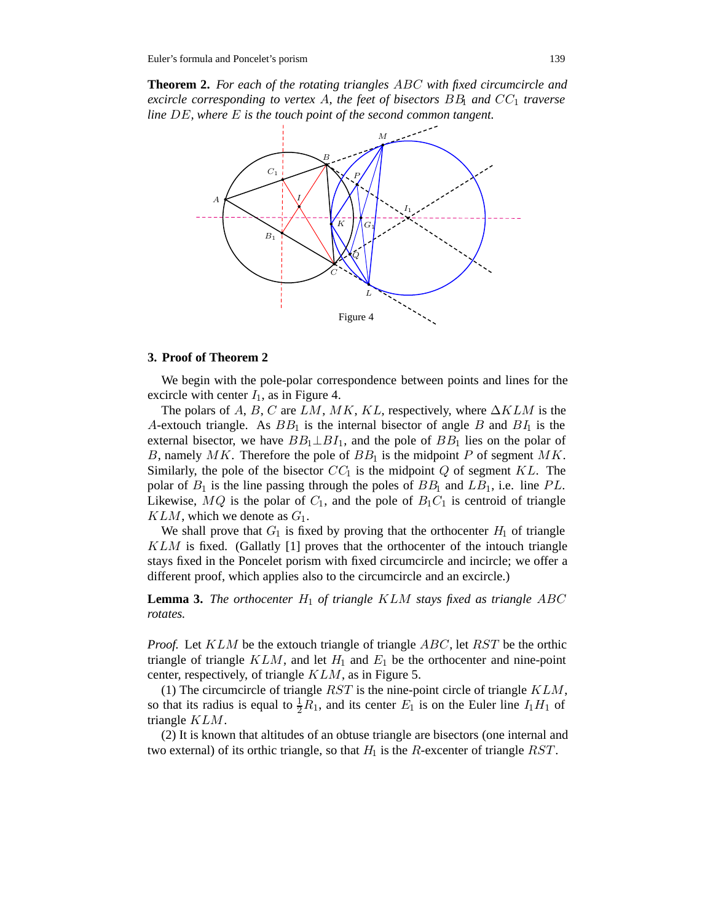**Theorem 2.** *For each of the rotating triangles ABC with fixed circumcircle and excircle corresponding to vertex A, the feet of bisectors BB*<sup>1</sup> *and CC*<sup>1</sup> *traverse line DE, where E is the touch point of the second common tangent.*



### **3. Proof of Theorem 2**

We begin with the pole-polar correspondence between points and lines for the excircle with center  $I_1$ , as in Figure 4.

The polars of *A*, *B*, *C* are *LM*, *MK*, *KL*, respectively, where ∆*KLM* is the *A*-extouch triangle. As *BB*<sup>1</sup> is the internal bisector of angle *B* and *BI*<sup>1</sup> is the external bisector, we have  $BB_1 \perp BI_1$ , and the pole of  $BB_1$  lies on the polar of *B*, namely *MK*. Therefore the pole of *BB*<sup>1</sup> is the midpoint *P* of segment *MK*. Similarly, the pole of the bisector  $CC_1$  is the midpoint  $Q$  of segment  $KL$ . The polar of  $B_1$  is the line passing through the poles of  $BB_1$  and  $LB_1$ , i.e. line  $PL$ . Likewise,  $MQ$  is the polar of  $C_1$ , and the pole of  $B_1C_1$  is centroid of triangle *KLM*, which we denote as *G*1.

We shall prove that  $G_1$  is fixed by proving that the orthocenter  $H_1$  of triangle *KLM* is fixed. (Gallatly [1] proves that the orthocenter of the intouch triangle stays fixed in the Poncelet porism with fixed circumcircle and incircle; we offer a different proof, which applies also to the circumcircle and an excircle.)

**Lemma 3.** *The orthocenter*  $H_1$  *of triangle KLM stays fixed as triangle ABC rotates.*

*Proof.* Let *KLM* be the extouch triangle of triangle *ABC*, let *RST* be the orthic triangle of triangle  $KLM$ , and let  $H_1$  and  $E_1$  be the orthocenter and nine-point center, respectively, of triangle *KLM*, as in Figure 5.

(1) The circumcircle of triangle *RST* is the nine-point circle of triangle *KLM*, so that its radius is equal to  $\frac{1}{2}\overline{R}_1$ , and its center  $E_1$  is on the Euler line  $I_1H_1$  of triangle *KLM*.

(2) It is known that altitudes of an obtuse triangle are bisectors (one internal and two external) of its orthic triangle, so that  $H_1$  is the *R*-excenter of triangle *RST*.